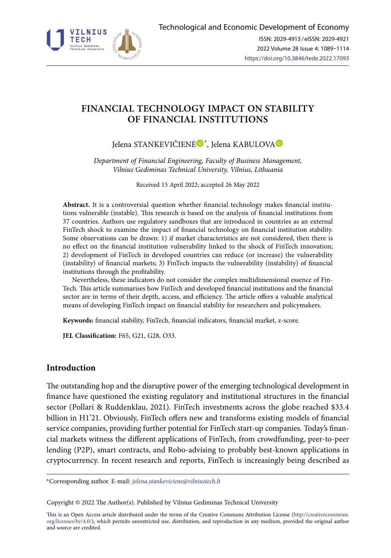

# **FINANCIAL TECHNOLOGY IMPACT ON STABILITY OF FINANCIAL INSTITUTIONS**

Jelena STANKEVIČIENĖ®[\\*](https://orcid.org/0000-0002-5600-5842), Jelena K[A](https://orcid.org/0000-0003-1912-8365)BULOVA

*Department of Financial Engineering, Faculty of Business Management, Vilnius Gediminas Technical University, Vilnius, Lithuania* 

Received 15 April 2022; accepted 26 May 2022

**Abstract.** It is a controversial question whether financial technology makes financial institutions vulnerable (instable). This research is based on the analysis of financial institutions from 37 countries. Authors use regulatory sandboxes that are introduced in countries as an external FinTech shock to examine the impact of financial technology on financial institution stability. Some observations can be drawn: 1) if market characteristics are not considered, then there is no effect on the financial institution vulnerability linked to the shock of FinTech innovation; 2) development of FinTech in developed countries can reduce (or increase) the vulnerability (instability) of financial markets; 3) FinTech impacts the vulnerability (instability) of financial institutions through the profitability.

Nevertheless, these indicators do not consider the complex multidimensional essence of Fin-Tech. This article summarises how FinTech and developed financial institutions and the financial sector are in terms of their depth, access, and efficiency. The article offers a valuable analytical means of developing FinTech impact on financial stability for researchers and policymakers.

**Keywords:** financial stability, FinTech, financial indicators, financial market, z-score.

**JEL Classification:** F65, G21, G28, O33.

## **Introduction**

The outstanding hop and the disruptive power of the emerging technological development in finance have questioned the existing regulatory and institutional structures in the financial sector (Pollari & Ruddenklau, 2021). FinTech investments across the globe reached \$33.4 billion in H1'21. Obviously, FinTech offers new and transforms existing models of financial service companies, providing further potential for FinTech start-up companies. Today's financial markets witness the different applications of FinTech, from crowdfunding, peer-to-peer lending (P2P), smart contracts, and Robo-advising to probably best-known applications in cryptocurrency. In recent research and reports, FinTech is increasingly being described as

\*Corresponding author. E-mail: *[jelena.stankeviciene@vilniustech.lt](mailto:jelena.stankeviciene@vilniustech.lt)*

Copyright © 2022 The Author(s). Published by Vilnius Gediminas Technical University

This is an Open Access article distributed under the terms of the Creative Commons Attribution License ([http://creativecommons.](http://creativecommons.org/licenses/by/4.0/) [org/licenses/by/4.0/\)](http://creativecommons.org/licenses/by/4.0/), which permits unrestricted use, distribution, and reproduction in any medium, provided the original author and source are credited.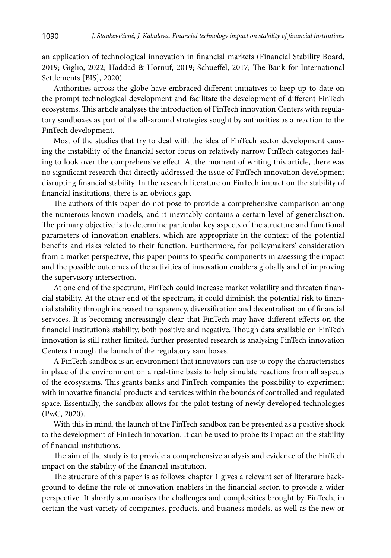an application of technological innovation in financial markets (Financial Stability Board, 2019; Giglio, 2022; Haddad & Hornuf, 2019; Schueffel, 2017; The Bank for International Settlements [BIS], 2020).

Authorities across the globe have embraced different initiatives to keep up-to-date on the prompt technological development and facilitate the development of different FinTech ecosystems. This article analyses the introduction of FinTech innovation Centers with regulatory sandboxes as part of the all-around strategies sought by authorities as a reaction to the FinTech development.

Most of the studies that try to deal with the idea of FinTech sector development causing the instability of the financial sector focus on relatively narrow FinTech categories failing to look over the comprehensive effect. At the moment of writing this article, there was no significant research that directly addressed the issue of FinTech innovation development disrupting financial stability. In the research literature on FinTech impact on the stability of financial institutions, there is an obvious gap.

The authors of this paper do not pose to provide a comprehensive comparison among the numerous known models, and it inevitably contains a certain level of generalisation. The primary objective is to determine particular key aspects of the structure and functional parameters of innovation enablers, which are appropriate in the context of the potential benefits and risks related to their function. Furthermore, for policymakers' consideration from a market perspective, this paper points to specific components in assessing the impact and the possible outcomes of the activities of innovation enablers globally and of improving the supervisory intersection.

At one end of the spectrum, FinTech could increase market volatility and threaten financial stability. At the other end of the spectrum, it could diminish the potential risk to financial stability through increased transparency, diversification and decentralisation of financial services. It is becoming increasingly clear that FinTech may have different effects on the financial institution's stability, both positive and negative. Though data available on FinTech innovation is still rather limited, further presented research is analysing FinTech innovation Centers through the launch of the regulatory sandboxes.

A FinTech sandbox is an environment that innovators can use to copy the characteristics in place of the environment on a real-time basis to help simulate reactions from all aspects of the ecosystems. This grants banks and FinTech companies the possibility to experiment with innovative financial products and services within the bounds of controlled and regulated space. Essentially, the sandbox allows for the pilot testing of newly developed technologies (PwC, 2020).

With this in mind, the launch of the FinTech sandbox can be presented as a positive shock to the development of FinTech innovation. It can be used to probe its impact on the stability of financial institutions.

The aim of the study is to provide a comprehensive analysis and evidence of the FinTech impact on the stability of the financial institution.

The structure of this paper is as follows: chapter 1 gives a relevant set of literature background to define the role of innovation enablers in the financial sector, to provide a wider perspective. It shortly summarises the challenges and complexities brought by FinTech, in certain the vast variety of companies, products, and business models, as well as the new or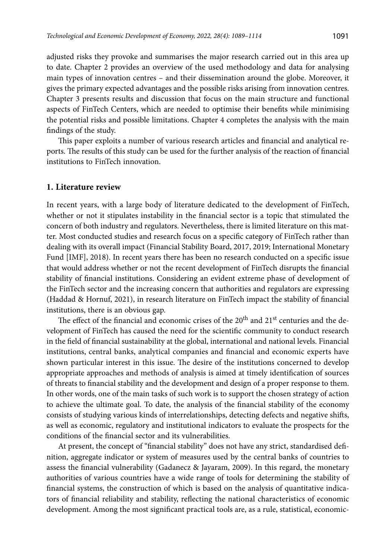adjusted risks they provoke and summarises the major research carried out in this area up to date. Chapter 2 provides an overview of the used methodology and data for analysing main types of innovation centres – and their dissemination around the globe. Moreover, it gives the primary expected advantages and the possible risks arising from innovation centres. Chapter 3 presents results and discussion that focus on the main structure and functional aspects of FinTech Centers, which are needed to optimise their benefits while minimising the potential risks and possible limitations. Chapter 4 completes the analysis with the main findings of the study.

This paper exploits a number of various research articles and financial and analytical reports. The results of this study can be used for the further analysis of the reaction of financial institutions to FinTech innovation.

#### **1. Literature review**

In recent years, with a large body of literature dedicated to the development of FinTech, whether or not it stipulates instability in the financial sector is a topic that stimulated the concern of both industry and regulators. Nevertheless, there is limited literature on this matter. Most conducted studies and research focus on a specific category of FinTech rather than dealing with its overall impact (Financial Stability Board, 2017, 2019; International Monetary Fund [IMF], 2018). In recent years there has been no research conducted on a specific issue that would address whether or not the recent development of FinTech disrupts the financial stability of financial institutions. Considering an evident extreme phase of development of the FinTech sector and the increasing concern that authorities and regulators are expressing (Haddad & Hornuf, 2021), in research literature on FinTech impact the stability of financial institutions, there is an obvious gap.

The effect of the financial and economic crises of the 20<sup>th</sup> and 21<sup>st</sup> centuries and the development of FinTech has caused the need for the scientific community to conduct research in the field of financial sustainability at the global, international and national levels. Financial institutions, central banks, analytical companies and financial and economic experts have shown particular interest in this issue. The desire of the institutions concerned to develop appropriate approaches and methods of analysis is aimed at timely identification of sources of threats to financial stability and the development and design of a proper response to them. In other words, one of the main tasks of such work is to support the chosen strategy of action to achieve the ultimate goal. To date, the analysis of the financial stability of the economy consists of studying various kinds of interrelationships, detecting defects and negative shifts, as well as economic, regulatory and institutional indicators to evaluate the prospects for the conditions of the financial sector and its vulnerabilities.

At present, the concept of "financial stability" does not have any strict, standardised definition, aggregate indicator or system of measures used by the central banks of countries to assess the financial vulnerability (Gadanecz & Jayaram, 2009). In this regard, the monetary authorities of various countries have a wide range of tools for determining the stability of financial systems, the construction of which is based on the analysis of quantitative indicators of financial reliability and stability, reflecting the national characteristics of economic development. Among the most significant practical tools are, as a rule, statistical, economic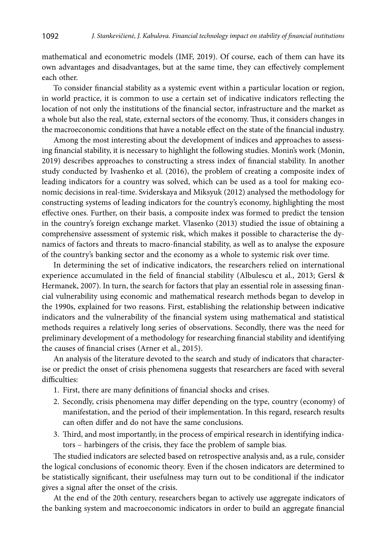mathematical and econometric models (IMF, 2019). Of course, each of them can have its own advantages and disadvantages, but at the same time, they can effectively complement each other.

To consider financial stability as a systemic event within a particular location or region, in world practice, it is common to use a certain set of indicative indicators reflecting the location of not only the institutions of the financial sector, infrastructure and the market as a whole but also the real, state, external sectors of the economy. Thus, it considers changes in the macroeconomic conditions that have a notable effect on the state of the financial industry.

Among the most interesting about the development of indices and approaches to assessing financial stability, it is necessary to highlight the following studies. Monin's work (Monin, 2019) describes approaches to constructing a stress index of financial stability. In another study conducted by Ivashenko et al. (2016), the problem of creating a composite index of leading indicators for a country was solved, which can be used as a tool for making economic decisions in real-time. Sviderskaya and Miksyuk (2012) analysed the methodology for constructing systems of leading indicators for the country's economy, highlighting the most effective ones. Further, on their basis, a composite index was formed to predict the tension in the country's foreign exchange market. Vlasenko (2013) studied the issue of obtaining a comprehensive assessment of systemic risk, which makes it possible to characterise the dynamics of factors and threats to macro-financial stability, as well as to analyse the exposure of the country's banking sector and the economy as a whole to systemic risk over time.

In determining the set of indicative indicators, the researchers relied on international experience accumulated in the field of financial stability (Albulescu et al., 2013; Gersl & Hermanek, 2007). In turn, the search for factors that play an essential role in assessing financial vulnerability using economic and mathematical research methods began to develop in the 1990s, explained for two reasons. First, establishing the relationship between indicative indicators and the vulnerability of the financial system using mathematical and statistical methods requires a relatively long series of observations. Secondly, there was the need for preliminary development of a methodology for researching financial stability and identifying the causes of financial crises (Arner et al., 2015).

An analysis of the literature devoted to the search and study of indicators that characterise or predict the onset of crisis phenomena suggests that researchers are faced with several difficulties:

- 1. First, there are many definitions of financial shocks and crises.
- 2. Secondly, crisis phenomena may differ depending on the type, country (economy) of manifestation, and the period of their implementation. In this regard, research results can often differ and do not have the same conclusions.
- 3. Third, and most importantly, in the process of empirical research in identifying indicators – harbingers of the crisis, they face the problem of sample bias.

The studied indicators are selected based on retrospective analysis and, as a rule, consider the logical conclusions of economic theory. Even if the chosen indicators are determined to be statistically significant, their usefulness may turn out to be conditional if the indicator gives a signal after the onset of the crisis.

At the end of the 20th century, researchers began to actively use aggregate indicators of the banking system and macroeconomic indicators in order to build an aggregate financial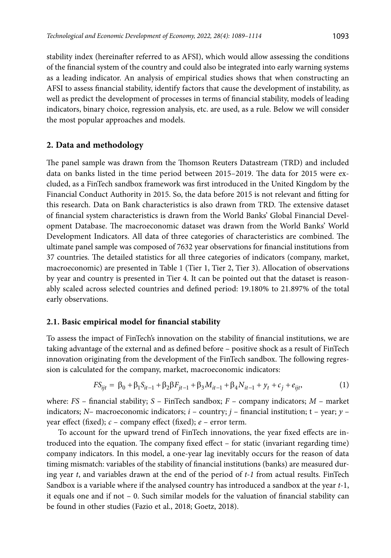stability index (hereinafter referred to as AFSI), which would allow assessing the conditions of the financial system of the country and could also be integrated into early warning systems as a leading indicator. An analysis of empirical studies shows that when constructing an AFSI to assess financial stability, identify factors that cause the development of instability, as well as predict the development of processes in terms of financial stability, models of leading indicators, binary choice, regression analysis, etc. are used, as a rule. Below we will consider the most popular approaches and models.

## **2. Data and methodology**

The panel sample was drawn from the Thomson Reuters Datastream (TRD) and included data on banks listed in the time period between 2015–2019. The data for 2015 were excluded, as a FinTech sandbox framework was first introduced in the United Kingdom by the Financial Conduct Authority in 2015. So, the data before 2015 is not relevant and fitting for this research. Data on Bank characteristics is also drawn from TRD. The extensive dataset of financial system characteristics is drawn from the World Banks' Global Financial Development Database. The macroeconomic dataset was drawn from the World Banks' World Development Indicators. All data of three categories of characteristics are combined. The ultimate panel sample was composed of 7632 year observations for financial institutions from 37 countries. The detailed statistics for all three categories of indicators (company, market, macroeconomic) are presented in Table 1 (Tier 1, Tier 2, Tier 3). Allocation of observations by year and country is presented in Tier 4. It can be pointed out that the dataset is reasonably scaled across selected countries and defined period: 19.180% to 21.897% of the total early observations.

## **2.1. Basic empirical model for financial stability**

To assess the impact of FinTech's innovation on the stability of financial institutions, we are taking advantage of the external and as defined before – positive shock as a result of FinTech innovation originating from the development of the FinTech sandbox. The following regression is calculated for the company, market, macroeconomic indicators:

$$
FS_{ijt} = \beta_0 + \beta_1 S_{it-1} + \beta_2 \beta F_{jt-1} + \beta_3 M_{it-1} + \beta_4 N_{it-1} + y_t + c_j + e_{ijt},
$$
\n(1)

where: *FS* – financial stability; *S* – FinTech sandbox; *F* – company indicators; *M* – market indicators; *N*– macroeconomic indicators; *i* – country; *j* – financial institution; t – year; *y* – year effect (fixed); *c* – company effect (fixed); *e* – error term.

To account for the upward trend of FinTech innovations, the year fixed effects are introduced into the equation. The company fixed effect – for static (invariant regarding time) company indicators. In this model, a one-year lag inevitably occurs for the reason of data timing mismatch: variables of the stability of financial institutions (banks) are measured during year *t*, and variables drawn at the end of the period of *t-1* from actual results. FinTech Sandbox is a variable where if the analysed country has introduced a sandbox at the year *t*-1, it equals one and if not – 0. Such similar models for the valuation of financial stability can be found in other studies (Fazio et al., 2018; Goetz, 2018).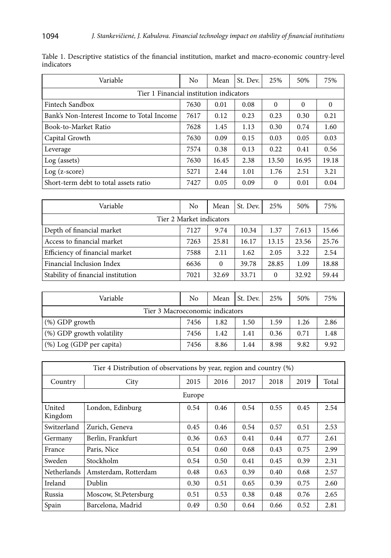| Variable                                   | No   | Mean  | St. Dev. | 25%      | 50%      | 75%      |  |  |
|--------------------------------------------|------|-------|----------|----------|----------|----------|--|--|
| Tier 1 Financial institution indicators    |      |       |          |          |          |          |  |  |
| Fintech Sandbox                            | 7630 | 0.01  | 0.08     | $\Omega$ | $\Omega$ | $\Omega$ |  |  |
| Bank's Non-Interest Income to Total Income | 7617 | 0.12  | 0.23     | 0.23     | 0.30     | 0.21     |  |  |
| Book-to-Market Ratio                       | 7628 | 1.45  | 1.13     | 0.30     | 0.74     | 1.60     |  |  |
| Capital Growth                             | 7630 | 0.09  | 0.15     | 0.03     | 0.05     | 0.03     |  |  |
| Leverage                                   | 7574 | 0.38  | 0.13     | 0.22     | 0.41     | 0.56     |  |  |
| Log (assets)                               | 7630 | 16.45 | 2.38     | 13.50    | 16.95    | 19.18    |  |  |
| $Log (z-score)$                            | 5271 | 2.44  | 1.01     | 1.76     | 2.51     | 3.21     |  |  |
| Short-term debt to total assets ratio      | 7427 | 0.05  | 0.09     | $\Omega$ | 0.01     | 0.04     |  |  |

| Table 1. Descriptive statistics of the financial institution, market and macro-economic country-level |  |  |  |  |
|-------------------------------------------------------------------------------------------------------|--|--|--|--|
| indicators                                                                                            |  |  |  |  |

| Variable                           | No   | Mean     | St. Dev. | 25%      | 50%   | 75%   |  |  |  |
|------------------------------------|------|----------|----------|----------|-------|-------|--|--|--|
| Tier 2 Market indicators           |      |          |          |          |       |       |  |  |  |
| Depth of financial market          | 7127 | 9.74     | 10.34    | 1.37     | 7.613 | 15.66 |  |  |  |
| Access to financial market         | 7263 | 25.81    | 16.17    | 13.15    | 23.56 | 25.76 |  |  |  |
| Efficiency of financial market     | 7588 | 2.11     | 1.62     | 2.05     | 3.22  | 2.54  |  |  |  |
| Financial Inclusion Index          | 6636 | $\Omega$ | 39.78    | 28.85    | 1.09  | 18.88 |  |  |  |
| Stability of financial institution | 7021 | 32.69    | 33.71    | $\Omega$ | 32.92 | 59.44 |  |  |  |

| Variable                        | No   | Mean | St. Dev. | 25%  | 50%  | 75%  |  |  |
|---------------------------------|------|------|----------|------|------|------|--|--|
| Tier 3 Macroeconomic indicators |      |      |          |      |      |      |  |  |
| $(\%)$ GDP growth               | 7456 | 1.82 | 1.50     | 1.59 | 1.26 | 2.86 |  |  |
| (%) GDP growth volatility       | 7456 | 1.42 | 1.41     | 0.36 | 0.71 | 1.48 |  |  |
| (%) Log (GDP per capita)        | 7456 | 8.86 | 1.44     | 8.98 | 9.82 | 9.92 |  |  |

| Tier 4 Distribution of observations by year, region and country (%) |                        |      |      |      |      |      |       |  |  |
|---------------------------------------------------------------------|------------------------|------|------|------|------|------|-------|--|--|
| Country                                                             | City                   | 2015 | 2016 | 2017 | 2018 | 2019 | Total |  |  |
|                                                                     | Europe                 |      |      |      |      |      |       |  |  |
| United<br>Kingdom                                                   | London, Edinburg       | 0.54 | 0.46 | 0.54 | 0.55 | 0.45 | 2.54  |  |  |
| Switzerland                                                         | Zurich, Geneva         | 0.45 | 0.46 | 0.54 | 0.57 | 0.51 | 2.53  |  |  |
| Germany                                                             | Berlin, Frankfurt      | 0.36 | 0.63 | 0.41 | 0.44 | 0.77 | 2.61  |  |  |
| France                                                              | Paris, Nice            | 0.54 | 0.60 | 0.68 | 0.43 | 0.75 | 2.99  |  |  |
| Sweden                                                              | Stockholm              | 0.54 | 0.50 | 0.41 | 0.45 | 0.39 | 2.31  |  |  |
| <b>Netherlands</b>                                                  | Amsterdam, Rotterdam   | 0.48 | 0.63 | 0.39 | 0.40 | 0.68 | 2.57  |  |  |
| Ireland                                                             | Dublin                 | 0.30 | 0.51 | 0.65 | 0.39 | 0.75 | 2.60  |  |  |
| Russia                                                              | Moscow, St. Petersburg | 0.51 | 0.53 | 0.38 | 0.48 | 0.76 | 2.65  |  |  |
| Spain                                                               | Barcelona, Madrid      | 0.49 | 0.50 | 0.64 | 0.66 | 0.52 | 2.81  |  |  |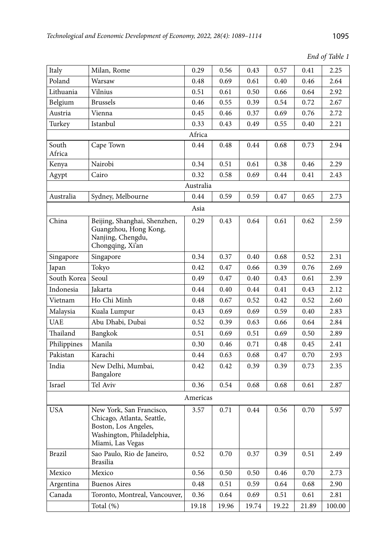*End of Table 1*

| Italy           | Milan, Rome                                                                                                                     | 0.29      | 0.56  | 0.43  | 0.57  | 0.41  | 2.25   |
|-----------------|---------------------------------------------------------------------------------------------------------------------------------|-----------|-------|-------|-------|-------|--------|
| Poland          | Warsaw                                                                                                                          | 0.48      | 0.69  | 0.61  | 0.40  | 0.46  | 2.64   |
| Lithuania       | Vilnius                                                                                                                         | 0.51      | 0.61  | 0.50  | 0.66  | 0.64  | 2.92   |
| Belgium         | <b>Brussels</b>                                                                                                                 | 0.46      | 0.55  | 0.39  | 0.54  | 0.72  | 2.67   |
| Austria         | Vienna                                                                                                                          | 0.45      | 0.46  | 0.37  | 0.69  | 0.76  | 2.72   |
| Turkey          | Istanbul                                                                                                                        | 0.33      | 0.43  | 0.49  | 0.55  | 0.40  | 2.21   |
|                 |                                                                                                                                 | Africa    |       |       |       |       |        |
| South<br>Africa | Cape Town                                                                                                                       | 0.44      | 0.48  | 0.44  | 0.68  | 0.73  | 2.94   |
| Kenya           | Nairobi                                                                                                                         | 0.34      | 0.51  | 0.61  | 0.38  | 0.46  | 2.29   |
| Agypt           | Cairo                                                                                                                           | 0.32      | 0.58  | 0.69  | 0.44  | 0.41  | 2.43   |
|                 |                                                                                                                                 | Australia |       |       |       |       |        |
| Australia       | Sydney, Melbourne                                                                                                               | 0.44      | 0.59  | 0.59  | 0.47  | 0.65  | 2.73   |
|                 |                                                                                                                                 | Asia      |       |       |       |       |        |
| China           | Beijing, Shanghai, Shenzhen,<br>Guangzhou, Hong Kong,<br>Nanjing, Chengdu,<br>Chongqing, Xi'an                                  | 0.29      | 0.43  | 0.64  | 0.61  | 0.62  | 2.59   |
| Singapore       | Singapore                                                                                                                       | 0.34      | 0.37  | 0.40  | 0.68  | 0.52  | 2.31   |
| Japan           | Tokyo                                                                                                                           | 0.42      | 0.47  | 0.66  | 0.39  | 0.76  | 2.69   |
| South Korea     | Seoul                                                                                                                           | 0.49      | 0.47  | 0.40  | 0.43  | 0.61  | 2.39   |
| Indonesia       | Jakarta                                                                                                                         | 0.44      | 0.40  | 0.44  | 0.41  | 0.43  | 2.12   |
| Vietnam         | Ho Chi Minh                                                                                                                     | 0.48      | 0.67  | 0.52  | 0.42  | 0.52  | 2.60   |
| Malaysia        | Kuala Lumpur                                                                                                                    | 0.43      | 0.69  | 0.69  | 0.59  | 0.40  | 2.83   |
| <b>UAE</b>      | Abu Dhabi, Dubai                                                                                                                | 0.52      | 0.39  | 0.63  | 0.66  | 0.64  | 2.84   |
| Thailand        | Bangkok                                                                                                                         | 0.51      | 0.69  | 0.51  | 0.69  | 0.50  | 2.89   |
| Philippines     | Manila                                                                                                                          | 0.30      | 0.46  | 0.71  | 0.48  | 0.45  | 2.41   |
| Pakistan        | Karachi                                                                                                                         | 0.44      | 0.63  | 0.68  | 0.47  | 0.70  | 2.93   |
| India           | New Delhi, Mumbai,<br>Bangalore                                                                                                 | 0.42      | 0.42  | 0.39  | 0.39  | 0.73  | 2.35   |
| Israel          | Tel Aviv                                                                                                                        | 0.36      | 0.54  | 0.68  | 0.68  | 0.61  | 2.87   |
|                 |                                                                                                                                 | Americas  |       |       |       |       |        |
| <b>USA</b>      | New York, San Francisco,<br>Chicago, Atlanta, Seattle,<br>Boston, Los Angeles,<br>Washington, Philadelphia,<br>Miami, Las Vegas | 3.57      | 0.71  | 0.44  | 0.56  | 0.70  | 5.97   |
| Brazil          | Sao Paulo, Rio de Janeiro,<br>Brasilia                                                                                          | 0.52      | 0.70  | 0.37  | 0.39  | 0.51  | 2.49   |
| Mexico          | Mexico                                                                                                                          | 0.56      | 0.50  | 0.50  | 0.46  | 0.70  | 2.73   |
| Argentina       | <b>Buenos Aires</b>                                                                                                             | 0.48      | 0.51  | 0.59  | 0.64  | 0.68  | 2.90   |
| Canada          | Toronto, Montreal, Vancouver,                                                                                                   | 0.36      | 0.64  | 0.69  | 0.51  | 0.61  | 2.81   |
|                 | Total (%)                                                                                                                       | 19.18     | 19.96 | 19.74 | 19.22 | 21.89 | 100.00 |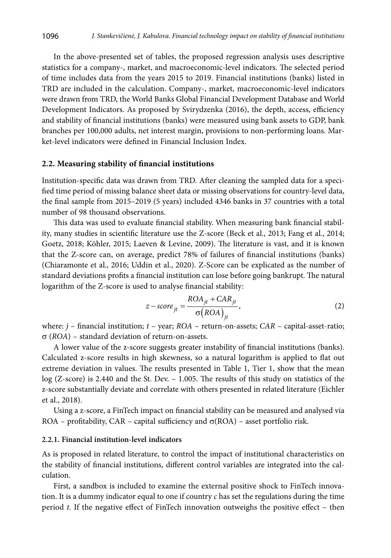In the above-presented set of tables, the proposed regression analysis uses descriptive statistics for a company-, market, and macroeconomic-level indicators. The selected period of time includes data from the years 2015 to 2019. Financial institutions (banks) listed in TRD are included in the calculation. Company-, market, macroeconomic-level indicators were drawn from TRD, the World Banks Global Financial Development Database and World Development Indicators. As proposed by Svirydzenka (2016), the depth, access, efficiency and stability of financial institutions (banks) were measured using bank assets to GDP, bank branches per 100,000 adults, net interest margin, provisions to non-performing loans. Market-level indicators were defined in Financial Inclusion Index.

#### **2.2. Measuring stability of financial institutions**

Institution-specific data was drawn from TRD. After cleaning the sampled data for a specified time period of missing balance sheet data or missing observations for country-level data, the final sample from 2015–2019 (5 years) included 4346 banks in 37 countries with a total number of 98 thousand observations.

This data was used to evaluate financial stability. When measuring bank financial stability, many studies in scientific literature use the Z-score (Beck et al., 2013; Fang et al., 2014; Goetz, 2018; Köhler, 2015; Laeven & Levine, 2009). The literature is vast, and it is known that the Z-score can, on average, predict 78% of failures of financial institutions (banks) (Chiaramonte et al., 2016; Uddin et al., 2020). Z-Score can be explicated as the number of standard deviations profits a financial institution can lose before going bankrupt. The natural logarithm of the Z-score is used to analyse financial stability:

$$
z-score_{jt} = \frac{ROA_{jt} + CAR_{jt}}{\sigma (ROA)_{jt}},
$$
\n(2)

where: *j* – financial institution; *t* – year; *ROA* – return-on-assets; *CAR* – capital-asset-ratio;  $\sigma$  (*ROA*) – standard deviation of return-on-assets.

A lower value of the z-score suggests greater instability of financial institutions (banks). Calculated z-score results in high skewness, so a natural logarithm is applied to flat out extreme deviation in values. The results presented in Table 1, Tier 1, show that the mean log (Z-score) is 2.440 and the St. Dev. – 1.005. The results of this study on statistics of the z-score substantially deviate and correlate with others presented in related literature (Eichler et al., 2018).

Using a z-score, a FinTech impact on financial stability can be measured and analysed via ROA – profitability, CAR – capital sufficiency and  $\sigma(ROA)$  – asset portfolio risk.

#### **2.2.1. Financial institution-level indicators**

As is proposed in related literature, to control the impact of institutional characteristics on the stability of financial institutions, different control variables are integrated into the calculation.

First, a sandbox is included to examine the external positive shock to FinTech innovation. It is a dummy indicator equal to one if country  $c$  has set the regulations during the time period *t.* If the negative effect of FinTech innovation outweighs the positive effect – then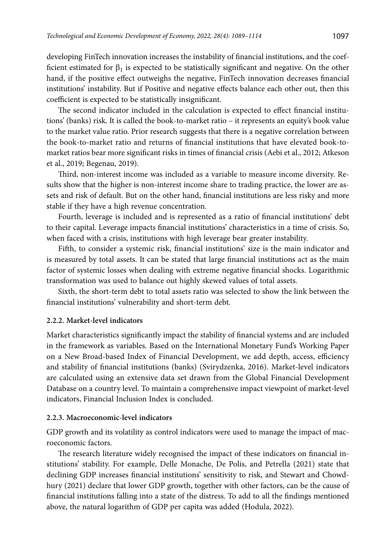developing FinTech innovation increases the instability of financial institutions, and the coefficient estimated for  $\beta_1$  is expected to be statistically significant and negative. On the other hand, if the positive effect outweighs the negative, FinTech innovation decreases financial institutions' instability. But if Positive and negative effects balance each other out, then this coefficient is expected to be statistically insignificant.

The second indicator included in the calculation is expected to effect financial institutions' (banks) risk. It is called the book-to-market ratio – it represents an equity's book value to the market value ratio. Prior research suggests that there is a negative correlation between the book-to-market ratio and returns of financial institutions that have elevated book-tomarket ratios bear more significant risks in times of financial crisis (Aebi et al., 2012; Atkeson et al., 2019; Begenau, 2019).

Third, non-interest income was included as a variable to measure income diversity. Results show that the higher is non-interest income share to trading practice, the lower are assets and risk of default. But on the other hand, financial institutions are less risky and more stable if they have a high revenue concentration.

Fourth, leverage is included and is represented as a ratio of financial institutions' debt to their capital. Leverage impacts financial institutions' characteristics in a time of crisis. So, when faced with a crisis, institutions with high leverage bear greater instability.

Fifth, to consider a systemic risk, financial institutions' size is the main indicator and is measured by total assets. It can be stated that large financial institutions act as the main factor of systemic losses when dealing with extreme negative financial shocks. Logarithmic transformation was used to balance out highly skewed values of total assets.

Sixth, the short-term debt to total assets ratio was selected to show the link between the financial institutions' vulnerability and short-term debt.

#### **2.2.2. Market-level indicators**

Market characteristics significantly impact the stability of financial systems and are included in the framework as variables. Based on the International Monetary Fund's Working Paper on a New Broad-based Index of Financial Development, we add depth, access, efficiency and stability of financial institutions (banks) (Svirydzenka, 2016). Market-level indicators are calculated using an extensive data set drawn from the Global Financial Development Database on a country level. To maintain a comprehensive impact viewpoint of market-level indicators, Financial Inclusion Index is concluded.

#### **2.2.3. Macroeconomic-level indicators**

GDP growth and its volatility as control indicators were used to manage the impact of macroeconomic factors.

The research literature widely recognised the impact of these indicators on financial institutions' stability. For example, Delle Monache, De Polis, and Petrella (2021) state that declining GDP increases financial institutions' sensitivity to risk, and Stewart and Chowdhury (2021) declare that lower GDP growth, together with other factors, can be the cause of financial institutions falling into a state of the distress. To add to all the findings mentioned above, the natural logarithm of GDP per capita was added (Hodula, 2022).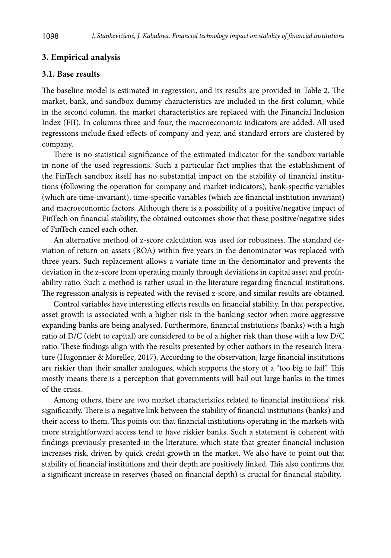#### **3. Empirical analysis**

#### **3.1. Base results**

The baseline model is estimated in regression, and its results are provided in Table 2. The market, bank, and sandbox dummy characteristics are included in the first column, while in the second column, the market characteristics are replaced with the Financial Inclusion Index (FII). In columns three and four, the macroeconomic indicators are added. All used regressions include fixed effects of company and year, and standard errors are clustered by company.

There is no statistical significance of the estimated indicator for the sandbox variable in none of the used regressions. Such a particular fact implies that the establishment of the FinTech sandbox itself has no substantial impact on the stability of financial institutions (following the operation for company and market indicators), bank-specific variables (which are time-invariant), time-specific variables (which are financial institution invariant) and macroeconomic factors. Although there is a possibility of a positive/negative impact of FinTech on financial stability, the obtained outcomes show that these positive/negative sides of FinTech cancel each other.

An alternative method of z-score calculation was used for robustness. The standard deviation of return on assets (ROA) within five years in the denominator was replaced with three years. Such replacement allows a variate time in the denominator and prevents the deviation in the z-score from operating mainly through deviations in capital asset and profitability ratio. Such a method is rather usual in the literature regarding financial institutions. The regression analysis is repeated with the revised z-score, and similar results are obtained.

Control variables have interesting effects results on financial stability. In that perspective, asset growth is associated with a higher risk in the banking sector when more aggressive expanding banks are being analysed. Furthermore, financial institutions (banks) with a high ratio of D/C (debt to capital) are considered to be of a higher risk than those with a low D/C ratio. These findings align with the results presented by other authors in the research literature (Hugonnier & Morellec, 2017). According to the observation, large financial institutions are riskier than their smaller analogues, which supports the story of a "too big to fail". This mostly means there is a perception that governments will bail out large banks in the times of the crisis.

Among others, there are two market characteristics related to financial institutions' risk significantly. There is a negative link between the stability of financial institutions (banks) and their access to them. This points out that financial institutions operating in the markets with more straightforward access tend to have riskier banks. Such a statement is coherent with findings previously presented in the literature, which state that greater financial inclusion increases risk, driven by quick credit growth in the market. We also have to point out that stability of financial institutions and their depth are positively linked. This also confirms that a significant increase in reserves (based on financial depth) is crucial for financial stability.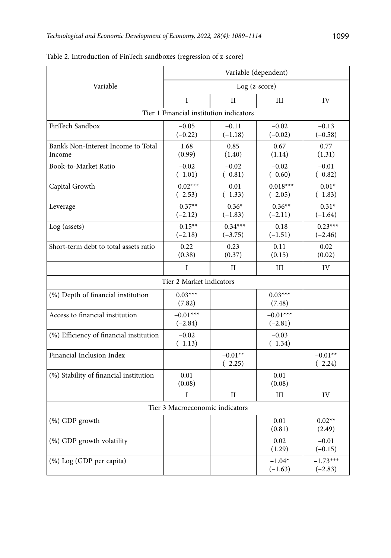|                                               | Variable (dependent)                    |                         |                          |                         |  |  |  |
|-----------------------------------------------|-----------------------------------------|-------------------------|--------------------------|-------------------------|--|--|--|
| Variable                                      | Log (z-score)                           |                         |                          |                         |  |  |  |
|                                               | I                                       | П                       | III                      | IV                      |  |  |  |
|                                               | Tier 1 Financial institution indicators |                         |                          |                         |  |  |  |
| FinTech Sandbox                               | $-0.05$<br>$(-0.22)$                    | $-0.11$<br>$(-1.18)$    | $-0.02$<br>$(-0.02)$     | $-0.13$<br>$(-0.58)$    |  |  |  |
| Bank's Non-Interest Income to Total<br>Income | 1.68<br>(0.99)                          | 0.85<br>(1.40)          | 0.67<br>(1.14)           | 0.77<br>(1.31)          |  |  |  |
| Book-to-Market Ratio                          | $-0.02$<br>$(-1.01)$                    | $-0.02$<br>$(-0.81)$    | $-0.02$<br>$(-0.60)$     | $-0.01$<br>$(-0.82)$    |  |  |  |
| Capital Growth                                | $-0.02***$<br>$(-2.53)$                 | $-0.01$<br>$(-1.33)$    | $-0.018***$<br>$(-2.05)$ | $-0.01*$<br>$(-1.83)$   |  |  |  |
| Leverage                                      | $-0.37**$<br>$(-2.12)$                  | $-0.36*$<br>$(-1.83)$   | $-0.36**$<br>$(-2.11)$   | $-0.31*$<br>$(-1.64)$   |  |  |  |
| Log (assets)                                  | $-0.15***$<br>$(-2.18)$                 | $-0.34***$<br>$(-3.75)$ | $-0.18$<br>$(-1.51)$     | $-0.23***$<br>$(-2.46)$ |  |  |  |
| Short-term debt to total assets ratio         | 0.22<br>(0.38)                          | 0.23<br>(0.37)          | 0.11<br>(0.15)           | 0.02<br>(0.02)          |  |  |  |
|                                               | I                                       | П                       | Ш                        | IV                      |  |  |  |
|                                               | Tier 2 Market indicators                |                         |                          |                         |  |  |  |
| (%) Depth of financial institution            | $0.03***$<br>(7.82)                     |                         | $0.03***$<br>(7.48)      |                         |  |  |  |
| Access to financial institution               | $-0.01***$<br>$(-2.84)$                 |                         | $-0.01***$<br>$(-2.81)$  |                         |  |  |  |
| (%) Efficiency of financial institution       | $-0.02$<br>$(-1.13)$                    |                         | $-0.03$<br>$(-1.34)$     |                         |  |  |  |
| Financial Inclusion Index                     |                                         | $-0.01**$<br>$(-2.25)$  |                          | $-0.01**$<br>$(-2.24)$  |  |  |  |
| (%) Stability of financial institution        | 0.01<br>(0.08)                          |                         | 0.01<br>(0.08)           |                         |  |  |  |
|                                               | I                                       | $\mathbf{I}$            | III                      | IV                      |  |  |  |
|                                               | Tier 3 Macroeconomic indicators         |                         |                          |                         |  |  |  |
| (%) GDP growth                                |                                         |                         | 0.01<br>(0.81)           | $0.02**$<br>(2.49)      |  |  |  |
| (%) GDP growth volatility                     |                                         |                         | 0.02<br>(1.29)           | $-0.01$<br>$(-0.15)$    |  |  |  |
| (%) Log (GDP per capita)                      |                                         |                         | $-1.04*$<br>$(-1.63)$    | $-1.73***$<br>$(-2.83)$ |  |  |  |

Table 2. Introduction of FinTech sandboxes (regression of z-score)

 $(-2.83)$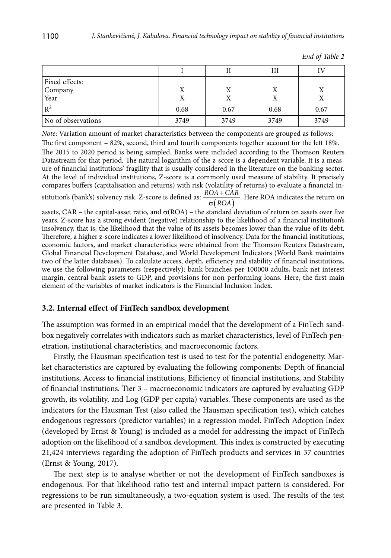|                    |      |      | Ш    | IV   |
|--------------------|------|------|------|------|
| Fixed effects:     |      |      |      |      |
| Company<br>Year    | Χ    | Χ    | X    |      |
|                    | Χ    | Х    |      |      |
| $\mathbb{R}^2$     | 0.68 | 0.67 | 0.68 | 0.67 |
| No of observations | 3749 | 3749 | 3749 | 3749 |

|  |  | End of Table 2 |  |
|--|--|----------------|--|
|--|--|----------------|--|

*Note*: Variation amount of market characteristics between the components are grouped as follows:

The first component – 82%, second, third and fourth components together account for the left 18%. The 2015 to 2020 period is being sampled. Banks were included according to the Thomson Reuters Datastream for that period. The natural logarithm of the z-score is a dependent variable. It is a measure of financial institutions' fragility that is usually considered in the literature on the banking sector. At the level of individual institutions, Z-score is a commonly used measure of stability. It precisely compares buffers (capitalisation and returns) with risk (volatility of returns) to evaluate a financial in-

stitution's (bank's) solvency risk. Z-score is defined as:  $\overline{\sigma}(ROA)$  $\frac{OA + CAR}{\sigma (ROA)}$ . Here ROA indicates the return on

assets, CAR – the capital-asset ratio, and  $\sigma(ROA)$  – the standard deviation of return on assets over five years. Z-score has a strong evident (negative) relationship to the likelihood of a financial institution's insolvency, that is, the likelihood that the value of its assets becomes lower than the value of its debt. Therefore, a higher z-score indicates a lower likelihood of insolvency. Data for the financial institutions, economic factors, and market characteristics were obtained from the Thomson Reuters Datastream, Global Financial Development Database, and World Development Indicators (World Bank maintains two of the latter databases). To calculate access, depth, efficiency and stability of financial institutions, we use the following parameters (respectively): bank branches per 100000 adults, bank net interest margin, central bank assets to GDP, and provisions for non-performing loans. Here, the first main element of the variables of market indicators is the Financial Inclusion Index.

#### **3.2. Internal effect of FinTech sandbox development**

The assumption was formed in an empirical model that the development of a FinTech sandbox negatively correlates with indicators such as market characteristics, level of FinTech penetration, institutional characteristics, and macroeconomic factors.

Firstly, the Hausman specification test is used to test for the potential endogeneity. Market characteristics are captured by evaluating the following components: Depth of financial institutions, Access to financial institutions, Efficiency of financial institutions, and Stability of financial institutions. Tier 3 – macroeconomic indicators are captured by evaluating GDP growth, its volatility, and Log (GDP per capita) variables. These components are used as the indicators for the Hausman Test (also called the Hausman specification test), which catches endogenous regressors (predictor variables) in a regression model. FinTech Adoption Index (developed by Ernst & Young) is included as a model for addressing the impact of FinTech adoption on the likelihood of a sandbox development. This index is constructed by executing 21,424 interviews regarding the adoption of FinTech products and services in 37 countries (Ernst & Young, 2017).

The next step is to analyse whether or not the development of FinTech sandboxes is endogenous. For that likelihood ratio test and internal impact pattern is considered. For regressions to be run simultaneously, a two-equation system is used. The results of the test are presented in Table 3.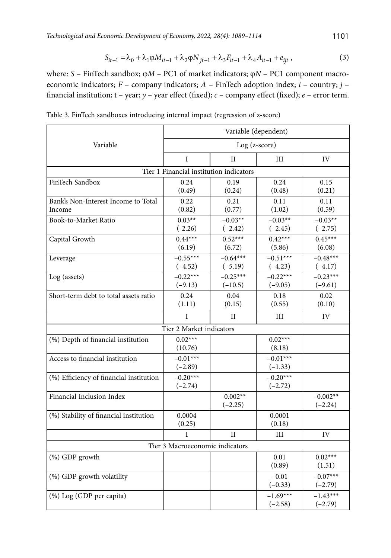$$
S_{it-1} = \lambda_0 + \lambda_1 \varphi M_{it-1} + \lambda_2 \varphi N_{jt-1} + \lambda_3 F_{it-1} + \lambda_4 A_{it-1} + e_{ijt} , \qquad (3)
$$

where: *S* – FinTech sandbox; φ*M* – PC1 of market indicators; φ*N* – PC1 component macroeconomic indicators; *F* – company indicators; *A* – FinTech adoption index; *i* – country; *j* – financial institution; t – year; *y* – year effect (fixed); *c* – company effect (fixed); *e* – error term.

|                                         | Variable (dependent)                    |             |            |            |  |  |  |
|-----------------------------------------|-----------------------------------------|-------------|------------|------------|--|--|--|
| Variable                                | Log (z-score)                           |             |            |            |  |  |  |
|                                         | I                                       | $_{\rm II}$ | Ш          | IV         |  |  |  |
|                                         | Tier 1 Financial institution indicators |             |            |            |  |  |  |
| FinTech Sandbox                         | 0.24                                    | 0.19        | 0.24       | 0.15       |  |  |  |
|                                         | (0.49)                                  | (0.24)      | (0.48)     | (0.21)     |  |  |  |
| Bank's Non-Interest Income to Total     | 0.22                                    | 0.21        | 0.11       | 0.11       |  |  |  |
| Income                                  | (0.82)                                  | (0.77)      | (1.02)     | (0.59)     |  |  |  |
| Book-to-Market Ratio                    | $0.03**$                                | $-0.03**$   | $-0.03**$  | $-0.03**$  |  |  |  |
|                                         | $(-2.26)$                               | $(-2.42)$   | $(-2.45)$  | $(-2.75)$  |  |  |  |
| Capital Growth                          | $0.44***$                               | $0.52***$   | $0.42***$  | $0.45***$  |  |  |  |
|                                         | (6.19)                                  | (6.72)      | (5.86)     | (6.08)     |  |  |  |
| Leverage                                | $-0.55***$                              | $-0.64***$  | $-0.51***$ | $-0.48***$ |  |  |  |
|                                         | $(-4.52)$                               | $(-5.19)$   | $(-4.23)$  | $(-4.17)$  |  |  |  |
| Log (assets)                            | $-0.22***$                              | $-0.25***$  | $-0.22***$ | $-0.23***$ |  |  |  |
|                                         | $(-9.13)$                               | $(-10.5)$   | $(-9.05)$  | $(-9.61)$  |  |  |  |
| Short-term debt to total assets ratio   | 0.24                                    | 0.04        | 0.18       | 0.02       |  |  |  |
|                                         | (1.11)                                  | (0.15)      | (0.55)     | (0.10)     |  |  |  |
|                                         | I                                       | $_{\rm II}$ | Ш          | IV         |  |  |  |
| Tier 2 Market indicators                |                                         |             |            |            |  |  |  |
| (%) Depth of financial institution      | $0.02***$                               |             | $0.02***$  |            |  |  |  |
|                                         | (10.76)                                 |             | (8.18)     |            |  |  |  |
| Access to financial institution         | $-0.01***$                              |             | $-0.01***$ |            |  |  |  |
|                                         | $(-2.89)$                               |             | $(-1.33)$  |            |  |  |  |
| (%) Efficiency of financial institution | $-0.20***$                              |             | $-0.20***$ |            |  |  |  |
|                                         | $(-2.74)$                               |             | $(-2.72)$  |            |  |  |  |
| Financial Inclusion Index               |                                         | $-0.002**$  |            | $-0.002**$ |  |  |  |
|                                         |                                         | $(-2.25)$   |            | $(-2.24)$  |  |  |  |
| (%) Stability of financial institution  | 0.0004                                  |             | 0.0001     |            |  |  |  |
|                                         | (0.25)                                  |             | (0.18)     |            |  |  |  |
|                                         | I                                       | $_{\rm II}$ | Ш          | IV         |  |  |  |
|                                         | Tier 3 Macroeconomic indicators         |             |            |            |  |  |  |
| (%) GDP growth                          |                                         |             | 0.01       | $0.02***$  |  |  |  |
|                                         |                                         |             | (0.89)     | (1.51)     |  |  |  |
| (%) GDP growth volatility               |                                         |             | $-0.01$    | $-0.07***$ |  |  |  |
|                                         |                                         |             | $(-0.33)$  | $(-2.79)$  |  |  |  |
| (%) Log (GDP per capita)                |                                         |             | $-1.69***$ | $-1.43***$ |  |  |  |
|                                         |                                         |             | $(-2.58)$  | $(-2.79)$  |  |  |  |

Table 3. FinTech sandboxes introducing internal impact (regression of z-score)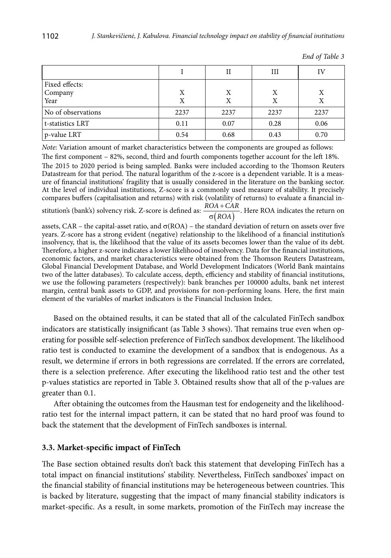|                    |      | Н    | Ш    | Ľ    |
|--------------------|------|------|------|------|
| Fixed effects:     |      |      |      |      |
| Company            | Х    | Χ    | Χ    | X    |
| Year               | X    | Χ    | Х    |      |
| No of observations | 2237 | 2237 | 2237 | 2237 |
| t-statistics LRT   | 0.11 | 0.07 | 0.28 | 0.06 |
| p-value LRT        | 0.54 | 0.68 | 0.43 | 0.70 |

|  |  | End of Table 3 |
|--|--|----------------|
|--|--|----------------|

*Note*: Variation amount of market characteristics between the components are grouped as follows:

The first component – 82%, second, third and fourth components together account for the left 18%. The 2015 to 2020 period is being sampled. Banks were included according to the Thomson Reuters Datastream for that period. The natural logarithm of the z-score is a dependent variable. It is a measure of financial institutions' fragility that is usually considered in the literature on the banking sector. At the level of individual institutions, Z-score is a commonly used measure of stability. It precisely compares buffers (capitalisation and returns) with risk (volatility of returns) to evaluate a financial in-

stitution's (bank's) solvency risk. Z-score is defined as: *ROA*  $\frac{OA + CAR}{\sigma (ROA)}$ . Here ROA indicates the return on

assets, CAR – the capital-asset ratio, and  $\sigma(ROA)$  – the standard deviation of return on assets over five years. Z-score has a strong evident (negative) relationship to the likelihood of a financial institution's insolvency, that is, the likelihood that the value of its assets becomes lower than the value of its debt. Therefore, a higher z-score indicates a lower likelihood of insolvency. Data for the financial institutions, economic factors, and market characteristics were obtained from the Thomson Reuters Datastream, Global Financial Development Database, and World Development Indicators (World Bank maintains two of the latter databases). To calculate access, depth, efficiency and stability of financial institutions, we use the following parameters (respectively): bank branches per 100000 adults, bank net interest margin, central bank assets to GDP, and provisions for non-performing loans. Here, the first main element of the variables of market indicators is the Financial Inclusion Index.

Based on the obtained results, it can be stated that all of the calculated FinTech sandbox indicators are statistically insignificant (as Table 3 shows). That remains true even when operating for possible self-selection preference of FinTech sandbox development. The likelihood ratio test is conducted to examine the development of a sandbox that is endogenous. As a result, we determine if errors in both regressions are correlated. If the errors are correlated, there is a selection preference. After executing the likelihood ratio test and the other test p-values statistics are reported in Table 3. Obtained results show that all of the p-values are greater than 0.1.

After obtaining the outcomes from the Hausman test for endogeneity and the likelihoodratio test for the internal impact pattern, it can be stated that no hard proof was found to back the statement that the development of FinTech sandboxes is internal.

#### **3.3. Market-specific impact of FinTech**

The Base section obtained results don't back this statement that developing FinTech has a total impact on financial institutions' stability. Nevertheless, FinTech sandboxes' impact on the financial stability of financial institutions may be heterogeneous between countries. This is backed by literature, suggesting that the impact of many financial stability indicators is market-specific. As a result, in some markets, promotion of the FinTech may increase the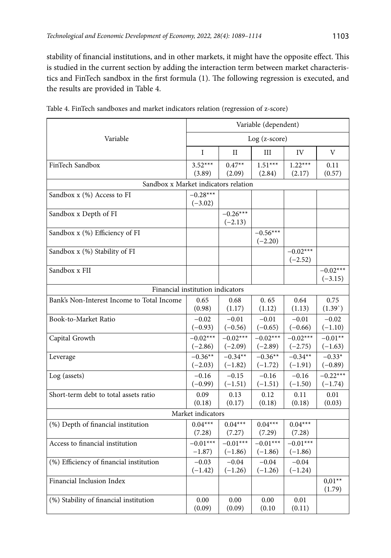stability of financial institutions, and in other markets, it might have the opposite effect. This is studied in the current section by adding the interaction term between market characteristics and FinTech sandbox in the first formula (1). The following regression is executed, and the results are provided in Table 4.

|                                            | Variable (dependent)    |                         |                         |                         |                         |  |  |
|--------------------------------------------|-------------------------|-------------------------|-------------------------|-------------------------|-------------------------|--|--|
| Variable                                   | $Log (z-score)$         |                         |                         |                         |                         |  |  |
|                                            | $\mathbf I$             | $_{\rm II}$             | III                     | IV                      | V                       |  |  |
| FinTech Sandbox                            | $3.52***$<br>(3.89)     | $0.47**$<br>(2.09)      | $1.51***$<br>(2.84)     | $1.22***$<br>(2.17)     | 0.11<br>(0.57)          |  |  |
| Sandbox x Market indicators relation       |                         |                         |                         |                         |                         |  |  |
| Sandbox x (%) Access to FI                 | $-0.28***$<br>$(-3.02)$ |                         |                         |                         |                         |  |  |
| Sandbox x Depth of FI                      |                         | $-0.26***$<br>$(-2.13)$ |                         |                         |                         |  |  |
| Sandbox x (%) Efficiency of FI             |                         |                         | $-0.56***$<br>$(-2.20)$ |                         |                         |  |  |
| Sandbox x (%) Stability of FI              |                         |                         |                         | $-0.02***$<br>$(-2.52)$ |                         |  |  |
| Sandbox x FII                              |                         |                         |                         |                         | $-0.02***$<br>$(-3.15)$ |  |  |
| Financial institution indicators           |                         |                         |                         |                         |                         |  |  |
| Bank's Non-Interest Income to Total Income | 0.65<br>(0.98)          | 0.68<br>(1.17)          | 0.65<br>(1.12)          | 0.64<br>(1.13)          | 0.75<br>(1.39)          |  |  |
| Book-to-Market Ratio                       | $-0.02$<br>$(-0.93)$    | $-0.01$<br>$(-0.56)$    | $-0.01$<br>$(-0.65)$    | $-0.01$<br>$(-0.66)$    | $-0.02$<br>$(-1.10)$    |  |  |
| Capital Growth                             | $-0.02***$<br>$(-2.86)$ | $-0.02***$<br>$(-2.09)$ | $-0.02***$<br>$(-2.89)$ | $-0.02***$<br>$(-2.75)$ | $-0.01**$<br>$(-1.63)$  |  |  |
| Leverage                                   | $-0.36**$<br>$(-2.03)$  | $-0.34**$<br>$(-1.82)$  | $-0.36**$<br>$(-1.72)$  | $-0.34**$<br>$(-1.91)$  | $-0.33*$<br>$(-0.89)$   |  |  |
| Log (assets)                               | $-0.16$<br>$(-0.99)$    | $-0.15$<br>$(-1.51)$    | $-0.16$<br>$(-1.51)$    | $-0.16$<br>$(-1.50)$    | $-0.22***$<br>$(-1.74)$ |  |  |
| Short-term debt to total assets ratio      | 0.09<br>(0.18)          | 0.13<br>(0.17)          | 0.12<br>(0.18)          | 0.11<br>(0.18)          | 0.01<br>(0.03)          |  |  |
|                                            | Market indicators       |                         |                         |                         |                         |  |  |
| (%) Depth of financial institution         | $0.04***$<br>(7.28)     | $0.04***$<br>(7.27)     | $0.04***$<br>(7.29)     | $0.04***$<br>(7.28)     |                         |  |  |
| Access to financial institution            | $-0.01***$<br>$-1.87)$  | $-0.01***$<br>$(-1.86)$ | $-0.01***$<br>$(-1.86)$ | $-0.01***$<br>$(-1.86)$ |                         |  |  |
| (%) Efficiency of financial institution    | $-0.03$<br>$(-1.42)$    | $-0.04$<br>$(-1.26)$    | $-0.04$<br>$(-1.26)$    | $-0.04$<br>$(-1.24)$    |                         |  |  |
| Financial Inclusion Index                  |                         |                         |                         |                         | $0.01**$<br>(1.79)      |  |  |
| (%) Stability of financial institution     | 0.00<br>(0.09)          | 0.00<br>(0.09)          | 0.00<br>(0.10)          | 0.01<br>(0.11)          |                         |  |  |

|  |  |  | Table 4. FinTech sandboxes and market indicators relation (regression of z-score) |  |
|--|--|--|-----------------------------------------------------------------------------------|--|
|  |  |  |                                                                                   |  |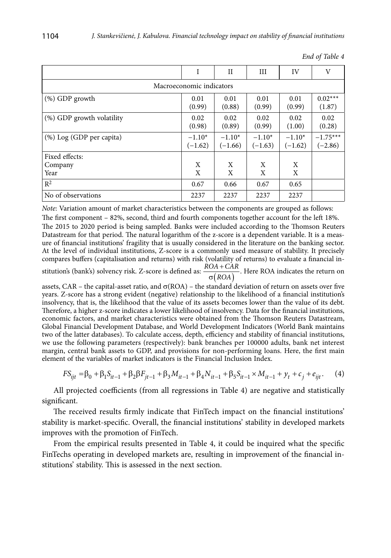|                           | I                        | $_{\rm II}$           | Ш                     | IV                    | V                       |
|---------------------------|--------------------------|-----------------------|-----------------------|-----------------------|-------------------------|
|                           | Macroeconomic indicators |                       |                       |                       |                         |
| $(\%)$ GDP growth         | 0.01<br>(0.99)           | 0.01<br>(0.88)        | 0.01<br>(0.99)        | 0.01<br>(0.99)        | $0.02***$<br>(1.87)     |
| (%) GDP growth volatility | 0.02<br>(0.98)           | 0.02<br>(0.89)        | 0.02<br>(0.99)        | 0.02<br>(1.00)        | 0.02<br>(0.28)          |
| (%) Log (GDP per capita)  | $-1.10*$<br>$(-1.62)$    | $-1.10*$<br>$(-1.66)$ | $-1.10*$<br>$(-1.63)$ | $-1.10*$<br>$(-1.62)$ | $-1.75***$<br>$(-2.86)$ |
| Fixed effects:            |                          |                       |                       |                       |                         |
| Company                   | X                        | X                     | X                     | X                     |                         |
| Year                      | X                        | X                     | X                     | X                     |                         |
| $R^2$                     | 0.67                     | 0.66                  | 0.67                  | 0.65                  |                         |
| No of observations        | 2237                     | 2237                  | 2237                  | 2237                  |                         |

|  |  | End of Table 4 |  |
|--|--|----------------|--|
|--|--|----------------|--|

*Note*: Variation amount of market characteristics between the components are grouped as follows:

The first component – 82%, second, third and fourth components together account for the left 18%. The 2015 to 2020 period is being sampled. Banks were included according to the Thomson Reuters Datastream for that period. The natural logarithm of the z-score is a dependent variable. It is a measure of financial institutions' fragility that is usually considered in the literature on the banking sector. At the level of individual institutions, Z-score is a commonly used measure of stability. It precisely compares buffers (capitalisation and returns) with risk (volatility of returns) to evaluate a financial in-

stitution's (bank's) solvency risk. Z-score is defined as:  $\frac{ROA + CAR}{\sigma (ROA)}$ .  $\frac{OA + CAR}{\sigma (ROA)}$ . Here ROA indicates the return on

assets, CAR – the capital-asset ratio, and  $\sigma(ROA)$  – the standard deviation of return on assets over five years. Z-score has a strong evident (negative) relationship to the likelihood of a financial institution's insolvency, that is, the likelihood that the value of its assets becomes lower than the value of its debt. Therefore, a higher z-score indicates a lower likelihood of insolvency. Data for the financial institutions, economic factors, and market characteristics were obtained from the Thomson Reuters Datastream, Global Financial Development Database, and World Development Indicators (World Bank maintains two of the latter databases). To calculate access, depth, efficiency and stability of financial institutions, we use the following parameters (respectively): bank branches per 100000 adults, bank net interest margin, central bank assets to GDP, and provisions for non-performing loans. Here, the first main element of the variables of market indicators is the Financial Inclusion Index.

$$
FS_{ijt} = \beta_0 + \beta_1 S_{it-1} + \beta_2 \beta F_{jt-1} + \beta_3 M_{it-1} + \beta_4 N_{it-1} + \beta_5 S_{it-1} \times M_{it-1} + y_t + c_j + e_{ijt}.
$$
 (4)

All projected coefficients (from all regressions in Table 4) are negative and statistically significant.

The received results firmly indicate that FinTech impact on the financial institutions' stability is market-specific. Overall, the financial institutions' stability in developed markets improves with the promotion of FinTech.

From the empirical results presented in Table 4, it could be inquired what the specific FinTechs operating in developed markets are, resulting in improvement of the financial institutions' stability. This is assessed in the next section.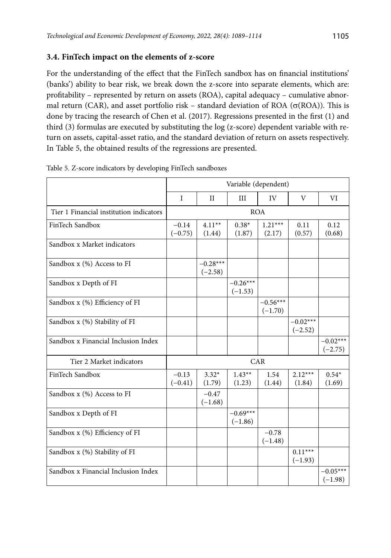## **3.4. FinTech impact on the elements of z-score**

For the understanding of the effect that the FinTech sandbox has on financial institutions' (banks') ability to bear risk, we break down the z-score into separate elements, which are: profitability – represented by return on assets (ROA), capital adequacy – cumulative abnormal return (CAR), and asset portfolio risk – standard deviation of ROA ( $\sigma$ (ROA)). This is done by tracing the research of Chen et al. (2017). Regressions presented in the first (1) and third (3) formulas are executed by substituting the log (z-score) dependent variable with return on assets, capital-asset ratio, and the standard deviation of return on assets respectively. In Table 5, the obtained results of the regressions are presented.

|                                         |                      |                         | Variable (dependent)    |                         |                         |                         |
|-----------------------------------------|----------------------|-------------------------|-------------------------|-------------------------|-------------------------|-------------------------|
|                                         | T                    | $_{\rm II}$             | III                     | IV                      | V                       | VI                      |
| Tier 1 Financial institution indicators |                      |                         |                         | <b>ROA</b>              |                         |                         |
| FinTech Sandbox                         | $-0.14$<br>$(-0.75)$ | $4.11***$<br>(1.44)     | $0.38*$<br>(1.87)       | $1.21***$<br>(2.17)     | 0.11<br>(0.57)          | 0.12<br>(0.68)          |
| Sandbox x Market indicators             |                      |                         |                         |                         |                         |                         |
| Sandbox x (%) Access to FI              |                      | $-0.28***$<br>$(-2.58)$ |                         |                         |                         |                         |
| Sandbox x Depth of FI                   |                      |                         | $-0.26***$<br>$(-1.53)$ |                         |                         |                         |
| Sandbox x (%) Efficiency of FI          |                      |                         |                         | $-0.56***$<br>$(-1.70)$ |                         |                         |
| Sandbox x (%) Stability of FI           |                      |                         |                         |                         | $-0.02***$<br>$(-2.52)$ |                         |
| Sandbox x Financial Inclusion Index     |                      |                         |                         |                         |                         | $-0.02***$<br>$(-2.75)$ |
| Tier 2 Market indicators                |                      |                         |                         | CAR                     |                         |                         |
| FinTech Sandbox                         | $-0.13$<br>$(-0.41)$ | $3.32*$<br>(1.79)       | $1.43**$<br>(1.23)      | 1.54<br>(1.44)          | $2.12***$<br>(1.84)     | $0.54*$<br>(1.69)       |
| Sandbox x (%) Access to FI              |                      | $-0.47$<br>$(-1.68)$    |                         |                         |                         |                         |
| Sandbox x Depth of FI                   |                      |                         | $-0.69***$<br>$(-1.86)$ |                         |                         |                         |
| Sandbox x (%) Efficiency of FI          |                      |                         |                         | $-0.78$<br>$(-1.48)$    |                         |                         |
| Sandbox x (%) Stability of FI           |                      |                         |                         |                         | $0.11***$<br>$(-1.93)$  |                         |
| Sandbox x Financial Inclusion Index     |                      |                         |                         |                         |                         | $-0.05***$<br>$(-1.98)$ |

Table 5. Z-score indicators by developing FinTech sandboxes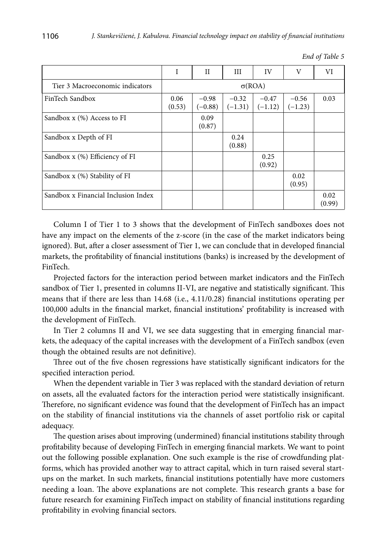|                                     |                | Н                    | Ш                    | IV                   | V                    | VI             |
|-------------------------------------|----------------|----------------------|----------------------|----------------------|----------------------|----------------|
| Tier 3 Macroeconomic indicators     |                |                      |                      | $\sigma(ROA)$        |                      |                |
| FinTech Sandbox                     | 0.06<br>(0.53) | $-0.98$<br>$(-0.88)$ | $-0.32$<br>$(-1.31)$ | $-0.47$<br>$(-1.12)$ | $-0.56$<br>$(-1.23)$ | 0.03           |
| Sandbox $x$ (%) Access to FI        |                | 0.09<br>(0.87)       |                      |                      |                      |                |
| Sandbox x Depth of FI               |                |                      | 0.24<br>(0.88)       |                      |                      |                |
| Sandbox $x$ (%) Efficiency of FI    |                |                      |                      | 0.25<br>(0.92)       |                      |                |
| Sandbox x (%) Stability of FI       |                |                      |                      |                      | 0.02<br>(0.95)       |                |
| Sandbox x Financial Inclusion Index |                |                      |                      |                      |                      | 0.02<br>(0.99) |

*End of Table 5*

Column I of Tier 1 to 3 shows that the development of FinTech sandboxes does not have any impact on the elements of the z-score (in the case of the market indicators being ignored). But, after a closer assessment of Tier 1, we can conclude that in developed financial markets, the profitability of financial institutions (banks) is increased by the development of FinTech.

Projected factors for the interaction period between market indicators and the FinTech sandbox of Tier 1, presented in columns II-VI, are negative and statistically significant. This means that if there are less than 14.68 (i.e., 4.11/0.28) financial institutions operating per 100,000 adults in the financial market, financial institutions' profitability is increased with the development of FinTech.

In Tier 2 columns II and VI, we see data suggesting that in emerging financial markets, the adequacy of the capital increases with the development of a FinTech sandbox (even though the obtained results are not definitive).

Three out of the five chosen regressions have statistically significant indicators for the specified interaction period.

When the dependent variable in Tier 3 was replaced with the standard deviation of return on assets, all the evaluated factors for the interaction period were statistically insignificant. Therefore, no significant evidence was found that the development of FinTech has an impact on the stability of financial institutions via the channels of asset portfolio risk or capital adequacy.

The question arises about improving (undermined) financial institutions stability through profitability because of developing FinTech in emerging financial markets. We want to point out the following possible explanation. One such example is the rise of crowdfunding platforms, which has provided another way to attract capital, which in turn raised several startups on the market. In such markets, financial institutions potentially have more customers needing a loan. The above explanations are not complete. This research grants a base for future research for examining FinTech impact on stability of financial institutions regarding profitability in evolving financial sectors.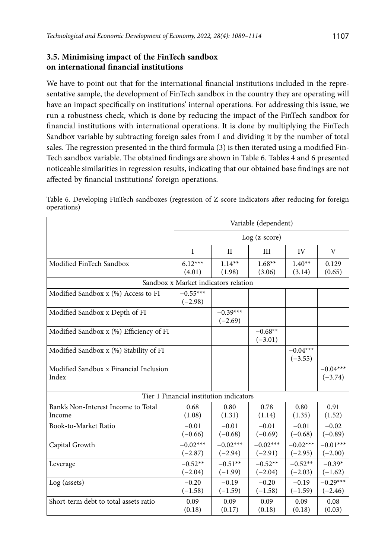## **3.5. Minimising impact of the FinTech sandbox on international financial institutions**

We have to point out that for the international financial institutions included in the representative sample, the development of FinTech sandbox in the country they are operating will have an impact specifically on institutions' internal operations. For addressing this issue, we run a robustness check, which is done by reducing the impact of the FinTech sandbox for financial institutions with international operations. It is done by multiplying the FinTech Sandbox variable by subtracting foreign sales from I and dividing it by the number of total sales. The regression presented in the third formula (3) is then iterated using a modified Fin-Tech sandbox variable. The obtained findings are shown in Table 6. Tables 4 and 6 presented noticeable similarities in regression results, indicating that our obtained base findings are not affected by financial institutions' foreign operations.

|                                                 | Variable (dependent)                    |                |            |            |                         |  |  |
|-------------------------------------------------|-----------------------------------------|----------------|------------|------------|-------------------------|--|--|
|                                                 |                                         | $Log(z-score)$ |            |            |                         |  |  |
|                                                 | $\mathbf I$                             | $\rm II$       | III        | IV         | V                       |  |  |
| Modified FinTech Sandbox                        | $6.12***$                               | $1.14**$       | $1.68**$   | $1.40**$   | 0.129                   |  |  |
|                                                 | (4.01)                                  | (1.98)         | (3.06)     | (3.14)     | (0.65)                  |  |  |
|                                                 | Sandbox x Market indicators relation    |                |            |            |                         |  |  |
| Modified Sandbox x (%) Access to FI             | $-0.55***$<br>$(-2.98)$                 |                |            |            |                         |  |  |
| Modified Sandbox x Depth of FI                  |                                         | $-0.39***$     |            |            |                         |  |  |
|                                                 |                                         | $(-2.69)$      |            |            |                         |  |  |
| Modified Sandbox x (%) Efficiency of FI         |                                         |                | $-0.68**$  |            |                         |  |  |
|                                                 |                                         |                | $(-3.01)$  |            |                         |  |  |
| Modified Sandbox x (%) Stability of FI          |                                         |                |            | $-0.04***$ |                         |  |  |
|                                                 |                                         |                |            | $(-3.55)$  |                         |  |  |
| Modified Sandbox x Financial Inclusion<br>Index |                                         |                |            |            | $-0.04***$<br>$(-3.74)$ |  |  |
|                                                 |                                         |                |            |            |                         |  |  |
|                                                 | Tier 1 Financial institution indicators |                |            |            |                         |  |  |
| Bank's Non-Interest Income to Total             | 0.68                                    | 0.80           | 0.78       | 0.80       | 0.91                    |  |  |
| Income                                          | (1.08)                                  | (1.31)         | (1.14)     | (1.35)     | (1.52)                  |  |  |
| Book-to-Market Ratio                            | $-0.01$                                 | $-0.01$        | $-0.01$    | $-0.01$    | $-0.02$                 |  |  |
|                                                 | $(-0.66)$                               | $(-0.68)$      | $(-0.69)$  | $(-0.68)$  | $(-0.89)$               |  |  |
| Capital Growth                                  | $-0.02***$                              | $-0.02***$     | $-0.02***$ | $-0.02***$ | $-0.01***$              |  |  |
|                                                 | $(-2.87)$                               | $(-2.94)$      | $(-2.91)$  | $(-2.95)$  | $(-2.00)$               |  |  |
| Leverage                                        | $-0.52**$                               | $-0.51**$      | $-0.52**$  | $-0.52**$  | $-0.39*$                |  |  |
|                                                 | $(-2.04)$                               | $(-1.99)$      | $(-2.04)$  | $(-2.03)$  | $(-1.62)$               |  |  |
| Log (assets)                                    | $-0.20$                                 | $-0.19$        | $-0.20$    | $-0.19$    | $-0.29***$              |  |  |
|                                                 | $(-1.58)$                               | $(-1.59)$      | $(-1.58)$  | $(-1.59)$  | $(-2.46)$               |  |  |
| Short-term debt to total assets ratio           | 0.09                                    | 0.09           | 0.09       | 0.09       | 0.08                    |  |  |
|                                                 | (0.18)                                  | (0.17)         | (0.18)     | (0.18)     | (0.03)                  |  |  |

Table 6. Developing FinTech sandboxes (regression of Z-score indicators after reducing for foreign operations)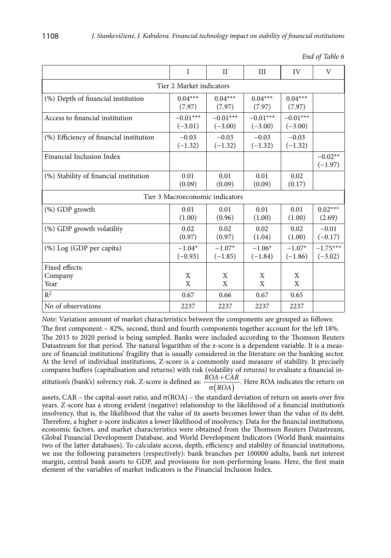|                                         | I                       | $_{\rm II}$                     | III                     | IV                      | V                       |  |  |  |
|-----------------------------------------|-------------------------|---------------------------------|-------------------------|-------------------------|-------------------------|--|--|--|
| Tier 2 Market indicators                |                         |                                 |                         |                         |                         |  |  |  |
| (%) Depth of financial institution      | $0.04***$<br>(7.97)     | $0.04***$<br>(7.97)             | $0.04***$<br>(7.97)     | $0.04***$<br>(7.97)     |                         |  |  |  |
| Access to financial institution         | $-0.01***$<br>$(-3.01)$ | $-0.01***$<br>$(-3.00)$         | $-0.01***$<br>$(-3.00)$ | $-0.01***$<br>$(-3.00)$ |                         |  |  |  |
| (%) Efficiency of financial institution | $-0.03$<br>$(-1.32)$    | $-0.03$<br>$(-1.32)$            | $-0.03$<br>$(-1.32)$    | $-0.03$<br>$(-1.32)$    |                         |  |  |  |
| Financial Inclusion Index               |                         |                                 |                         |                         | $-0.02**$<br>$(-1.97)$  |  |  |  |
| (%) Stability of financial institution  | 0.01<br>(0.09)          | 0.01<br>(0.09)                  | 0.01<br>(0.09)          | 0.02<br>(0.17)          |                         |  |  |  |
|                                         |                         | Tier 3 Macroeconomic indicators |                         |                         |                         |  |  |  |
| $(\%)$ GDP growth                       | 0.01<br>(1.00)          | 0.01<br>(0.96)                  | 0.01<br>(1.00)          | 0.01<br>(1.00)          | $0.02***$<br>(2.69)     |  |  |  |
| (%) GDP growth volatility               | 0.02<br>(0.97)          | 0.02<br>(0.97)                  | 0.02<br>(1.04)          | 0.02<br>(1.00)          | $-0.01$<br>$(-0.17)$    |  |  |  |
| (%) Log (GDP per capita)                | $-1.04*$<br>$(-0.93)$   | $-1.07*$<br>$(-1.85)$           | $-1.06*$<br>$(-1.84)$   | $-1.07*$<br>$(-1.86)$   | $-1.75***$<br>$(-3.02)$ |  |  |  |
| Fixed effects:                          |                         |                                 |                         |                         |                         |  |  |  |
| Company<br>Year                         | X<br>X                  | X<br>X                          | X<br>X                  | X<br>X                  |                         |  |  |  |
| $R^2$                                   | 0.67                    | 0.66                            | 0.67                    | 0.65                    |                         |  |  |  |
| No of observations                      | 2237                    | 2237                            | 2237                    | 2237                    |                         |  |  |  |

|  |  | End of Table 6 |  |
|--|--|----------------|--|
|--|--|----------------|--|

*Note*: Variation amount of market characteristics between the components are grouped as follows: The first component – 82%, second, third and fourth components together account for the left 18%. The 2015 to 2020 period is being sampled. Banks were included according to the Thomson Reuters Datastream for that period. The natural logarithm of the z-score is a dependent variable. It is a measure of financial institutions' fragility that is usually considered in the literature on the banking sector. At the level of individual institutions, Z-score is a commonly used measure of stability. It precisely compares buffers (capitalisation and returns) with risk (volatility of returns) to evaluate a financial institution's (bank's) solvency risk. Z-score is defined as:  $\frac{ROA + CAR}{\sigma (ROA)}$ . Here ROA indicates the return on  $\sigma(ROA)$ 

assets, CAR – the capital-asset ratio, and  $\sigma(ROA)$  – the standard deviation of return on assets over five years. Z-score has a strong evident (negative) relationship to the likelihood of a financial institution's insolvency, that is, the likelihood that the value of its assets becomes lower than the value of its debt. Therefore, a higher z-score indicates a lower likelihood of insolvency. Data for the financial institutions, economic factors, and market characteristics were obtained from the Thomson Reuters Datastream, Global Financial Development Database, and World Development Indicators (World Bank maintains two of the latter databases). To calculate access, depth, efficiency and stability of financial institutions, we use the following parameters (respectively): bank branches per 100000 adults, bank net interest margin, central bank assets to GDP, and provisions for non-performing loans. Here, the first main element of the variables of market indicators is the Financial Inclusion Index.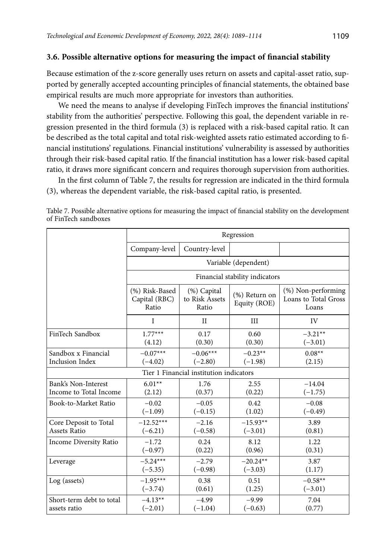#### **3.6. Possible alternative options for measuring the impact of financial stability**

Because estimation of the z-score generally uses return on assets and capital-asset ratio, supported by generally accepted accounting principles of financial statements, the obtained base empirical results are much more appropriate for investors than authorities.

We need the means to analyse if developing FinTech improves the financial institutions' stability from the authorities' perspective. Following this goal, the dependent variable in regression presented in the third formula (3) is replaced with a risk-based capital ratio. It can be described as the total capital and total risk-weighted assets ratio estimated according to financial institutions' regulations. Financial institutions' vulnerability is assessed by authorities through their risk-based capital ratio. If the financial institution has a lower risk-based capital ratio, it draws more significant concern and requires thorough supervision from authorities.

In the first column of Table 7, the results for regression are indicated in the third formula (3), whereas the dependent variable, the risk-based capital ratio, is presented.

|                          | Regression                               |                                         |                                  |                                                        |  |  |
|--------------------------|------------------------------------------|-----------------------------------------|----------------------------------|--------------------------------------------------------|--|--|
|                          | Company-level                            | Country-level                           |                                  |                                                        |  |  |
|                          |                                          |                                         | Variable (dependent)             |                                                        |  |  |
|                          |                                          |                                         | Financial stability indicators   |                                                        |  |  |
|                          | (%) Risk-Based<br>Capital (RBC)<br>Ratio | (%) Capital<br>to Risk Assets<br>Ratio  | $(\%)$ Return on<br>Equity (ROE) | $(\%)$ Non-performing<br>Loans to Total Gross<br>Loans |  |  |
|                          | I                                        | $_{\rm II}$                             | III                              | IV                                                     |  |  |
| FinTech Sandbox          | $1.77***$                                | 0.17                                    | 0.60                             | $-3.21**$                                              |  |  |
|                          | (4.12)                                   | (0.30)                                  | (0.30)                           | $(-3.01)$                                              |  |  |
| Sandbox x Financial      | $-0.07***$                               | $-0.06***$                              | $-0.23**$                        | $0.08**$                                               |  |  |
| <b>Inclusion Index</b>   | $(-4.02)$                                | $(-2.80)$                               | $(-1.98)$                        | (2.15)                                                 |  |  |
|                          |                                          | Tier 1 Financial institution indicators |                                  |                                                        |  |  |
| Bank's Non-Interest      | $6.01**$                                 | 1.76                                    | 2.55                             | $-14.04$                                               |  |  |
| Income to Total Income   | (2.12)                                   | (0.37)                                  | (0.22)                           | $(-1.75)$                                              |  |  |
| Book-to-Market Ratio     | $-0.02$                                  | $-0.05$                                 | 0.42                             | $-0.08$                                                |  |  |
|                          | $(-1.09)$                                | $(-0.15)$                               | (1.02)                           | $(-0.49)$                                              |  |  |
| Core Deposit to Total    | $-12.52***$                              | $-2.16$                                 | $-15.93**$                       | 3.89                                                   |  |  |
| <b>Assets Ratio</b>      | $(-6.21)$                                | $(-0.58)$                               | $(-3.01)$                        | (0.81)                                                 |  |  |
| Income Diversity Ratio   | $-1.72$                                  | 0.24                                    | 8.12                             | 1.22                                                   |  |  |
|                          | $(-0.97)$                                | (0.22)                                  | (0.96)                           | (0.31)                                                 |  |  |
| Leverage                 | $-5.24***$                               | $-2.79$                                 | $-20.24**$                       | 3.87                                                   |  |  |
|                          | $(-5.35)$                                | $(-0.98)$                               | $(-3.03)$                        | (1.17)                                                 |  |  |
| Log (assets)             | $-1.95***$                               | 0.38                                    | 0.51                             | $-0.58**$                                              |  |  |
|                          | $(-3.74)$                                | (0.61)                                  | (1.25)                           | $(-3.01)$                                              |  |  |
| Short-term debt to total | $-4.13**$                                | $-4.99$                                 | $-9.99$                          | 7.04                                                   |  |  |
| assets ratio             | $(-2.01)$                                | $(-1.04)$                               | $(-0.63)$                        | (0.77)                                                 |  |  |

Table 7. Possible alternative options for measuring the impact of financial stability on the development of FinTech sandboxes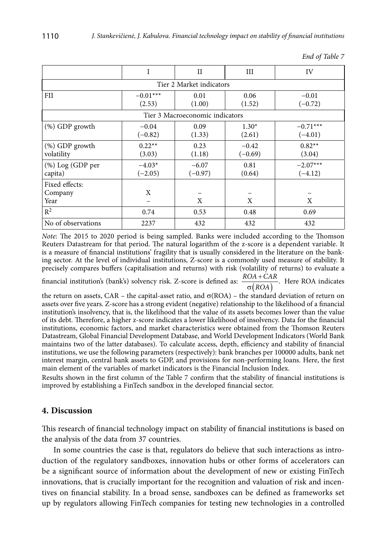|                          | I          | $_{\rm II}$                     | Ш         | IV         |  |  |  |  |
|--------------------------|------------|---------------------------------|-----------|------------|--|--|--|--|
| Tier 2 Market indicators |            |                                 |           |            |  |  |  |  |
| FII                      | $-0.01***$ | 0.01                            | 0.06      | $-0.01$    |  |  |  |  |
|                          | (2.53)     | (1.00)                          | (1.52)    | $(-0.72)$  |  |  |  |  |
|                          |            | Tier 3 Macroeconomic indicators |           |            |  |  |  |  |
| (%) GDP growth           | $-0.04$    | 0.09                            | $1.30*$   | $-0.71***$ |  |  |  |  |
|                          | $(-0.82)$  | (1.33)                          | (2.61)    | $(-4.01)$  |  |  |  |  |
| $(\%)$ GDP growth        | $0.22**$   | 0.23                            | $-0.42$   | $0.82**$   |  |  |  |  |
| volatility               | (3.03)     | (1.18)                          | $(-0.69)$ | (3.04)     |  |  |  |  |
| (%) Log (GDP per         | $-4.03*$   | $-6.07$                         | 0.81      | $-2.07***$ |  |  |  |  |
| capita)                  | $(-2.05)$  | $(-0.97)$                       | (0.64)    | $(-4.12)$  |  |  |  |  |
| Fixed effects:           |            |                                 |           |            |  |  |  |  |
| Company                  | X          |                                 |           |            |  |  |  |  |
| Year                     |            | X                               | X         | X          |  |  |  |  |
| $R^2$                    | 0.74       | 0.53                            | 0.48      | 0.69       |  |  |  |  |
| No of observations       | 2237       | 432                             | 432       | 432        |  |  |  |  |

*End of Table 7*

*Note*: The 2015 to 2020 period is being sampled. Banks were included according to the Thomson Reuters Datastream for that period. The natural logarithm of the z-score is a dependent variable. It is a measure of financial institutions' fragility that is usually considered in the literature on the banking sector. At the level of individual institutions, Z-score is a commonly used measure of stability. It precisely compares buffers (capitalisation and returns) with risk (volatility of returns) to evaluate a

financial institution's (bank's) solvency risk. Z-score is defined as:  $\frac{ROA + CAR}{\sigma(ROA)}$ . Here ROA indicates  $\sigma(ROA)$ 

the return on assets, CAR – the capital-asset ratio, and  $\sigma(ROA)$  – the standard deviation of return on assets over five years. Z-score has a strong evident (negative) relationship to the likelihood of a financial institution's insolvency, that is, the likelihood that the value of its assets becomes lower than the value of its debt. Therefore, a higher z-score indicates a lower likelihood of insolvency. Data for the financial institutions, economic factors, and market characteristics were obtained from the Thomson Reuters Datastream, Global Financial Development Database, and World Development Indicators (World Bank maintains two of the latter databases). To calculate access, depth, efficiency and stability of financial institutions, we use the following parameters (respectively): bank branches per 100000 adults, bank net interest margin, central bank assets to GDP, and provisions for non-performing loans. Here, the first main element of the variables of market indicators is the Financial Inclusion Index.

Results shown in the first column of the Table 7 confirm that the stability of financial institutions is improved by establishing a FinTech sandbox in the developed financial sector.

## **4. Discussion**

This research of financial technology impact on stability of financial institutions is based on the analysis of the data from 37 countries.

In some countries the case is that, regulators do believe that such interactions as introduction of the regulatory sandboxes, innovation hubs or other forms of accelerators can be a significant source of information about the development of new or existing FinTech innovations, that is crucially important for the recognition and valuation of risk and incentives on financial stability. In a broad sense, sandboxes can be defined as frameworks set up by regulators allowing FinTech companies for testing new technologies in a controlled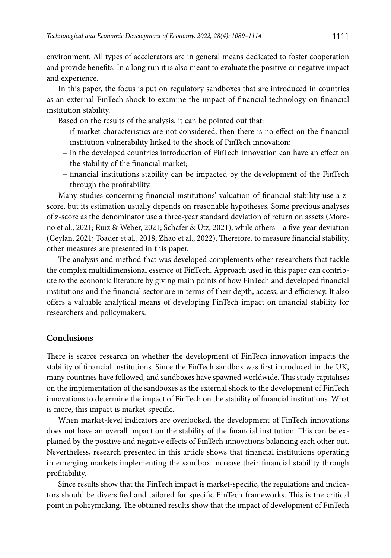environment. All types of accelerators are in general means dedicated to foster cooperation and provide benefits. In a long run it is also meant to evaluate the positive or negative impact and experience.

In this paper, the focus is put on regulatory sandboxes that are introduced in countries as an external FinTech shock to examine the impact of financial technology on financial institution stability.

Based on the results of the analysis, it can be pointed out that:

- if market characteristics are not considered, then there is no effect on the financial institution vulnerability linked to the shock of FinTech innovation;
- in the developed countries introduction of FinTech innovation can have an effect on the stability of the financial market;
- financial institutions stability can be impacted by the development of the FinTech through the profitability.

Many studies concerning financial institutions' valuation of financial stability use a zscore, but its estimation usually depends on reasonable hypotheses. Some previous analyses of z-score as the denominator use a three-year standard deviation of return on assets (Moreno et al., 2021; Ruiz & Weber, 2021; Schäfer & Utz, 2021), while others – a five-year deviation (Ceylan, 2021; Toader et al., 2018; Zhao et al., 2022). Therefore, to measure financial stability, other measures are presented in this paper.

The analysis and method that was developed complements other researchers that tackle the complex multidimensional essence of FinTech. Approach used in this paper can contribute to the economic literature by giving main points of how FinTech and developed financial institutions and the financial sector are in terms of their depth, access, and efficiency. It also offers a valuable analytical means of developing FinTech impact on financial stability for researchers and policymakers.

## **Conclusions**

There is scarce research on whether the development of FinTech innovation impacts the stability of financial institutions. Since the FinTech sandbox was first introduced in the UK, many countries have followed, and sandboxes have spawned worldwide. This study capitalises on the implementation of the sandboxes as the external shock to the development of FinTech innovations to determine the impact of FinTech on the stability of financial institutions. What is more, this impact is market-specific.

When market-level indicators are overlooked, the development of FinTech innovations does not have an overall impact on the stability of the financial institution. This can be explained by the positive and negative effects of FinTech innovations balancing each other out. Nevertheless, research presented in this article shows that financial institutions operating in emerging markets implementing the sandbox increase their financial stability through profitability.

Since results show that the FinTech impact is market-specific, the regulations and indicators should be diversified and tailored for specific FinTech frameworks. This is the critical point in policymaking. The obtained results show that the impact of development of FinTech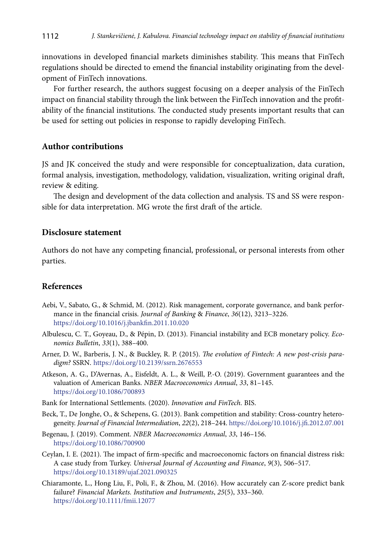innovations in developed financial markets diminishes stability. This means that FinTech regulations should be directed to emend the financial instability originating from the development of FinTech innovations.

For further research, the authors suggest focusing on a deeper analysis of the FinTech impact on financial stability through the link between the FinTech innovation and the profitability of the financial institutions. The conducted study presents important results that can be used for setting out policies in response to rapidly developing FinTech.

## **Author contributions**

JS and JK conceived the study and were responsible for conceptualization, data curation, formal analysis, investigation, methodology, validation, visualization, writing original draft, review & editing.

The design and development of the data collection and analysis. TS and SS were responsible for data interpretation. MG wrote the first draft of the article.

#### **Disclosure statement**

Authors do not have any competing financial, professional, or personal interests from other parties.

## **References**

- Aebi, V., Sabato, G., & Schmid, M. (2012). Risk management, corporate governance, and bank performance in the financial crisis. *Journal of Banking* & *Finance*, *36*(12), 3213–3226. https://doi.org/10.1016/j.jbankfin.2011.10.020
- Albulescu, C. T., Goyeau, D., & Pépin, D. (2013). Financial instability and ECB monetary policy. *Economics Bulletin*, *33*(1), 388–400.
- Arner, D. W., Barberis, J. N., & Buckley, R. P. (2015). *The evolution of Fintech: A new post-crisis paradigm?* SSRN. https://doi.org/10.2139/ssrn.2676553
- Atkeson, A. G., D'Avernas, A., Eisfeldt, A. L., & Weill, P.-O. (2019). Government guarantees and the valuation of American Banks. *NBER Macroeconomics Annual*, *33*, 81–145. https://doi.org/10.1086/700893
- Bank for International Settlements. (2020). *Innovation and FinTech*. BIS.
- Beck, T., De Jonghe, O., & Schepens, G. (2013). Bank competition and stability: Cross-country heterogeneity. *Journal of Financial Intermediation*, *22*(2), 218–244. https://doi.org/10.1016/j.jfi.2012.07.001
- Begenau, J. (2019). Comment. *NBER Macroeconomics Annual*, *33*, 146–156. https://doi.org/10.1086/700900
- Ceylan, I. E. (2021). The impact of firm-specific and macroeconomic factors on financial distress risk: A case study from Turkey. *Universal Journal of Accounting and Finance*, *9*(3), 506–517. https://doi.org/10.13189/ujaf.2021.090325
- Chiaramonte, L., Hong Liu, F., Poli, F., & Zhou, M. (2016). How accurately can Z-score predict bank failure? *Financial Markets. Institution and Instruments*, *25*(5), 333–360. https://doi.org/10.1111/fmii.12077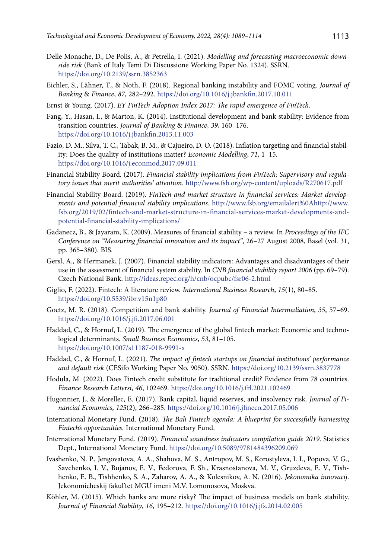- Delle Monache, D., De Polis, A., & Petrella, I. (2021). *Modelling and forecasting macroeconomic downside risk* (Bank of Italy Temi Di Discussione Working Paper No. 1324). SSRN. https://doi.org/10.2139/ssrn.3852363
- Eichler, S., Lähner, T., & Noth, F. (2018). Regional banking instability and FOMC voting. *Journal of Banking* & *Finance*, *87*, 282–292. https://doi.org/10.1016/j.jbankfin.2017.10.011
- Ernst & Young. (2017). *EY FinTech Adoption Index 2017: The rapid emergence of FinTech*.
- Fang, Y., Hasan, I., & Marton, K. (2014). Institutional development and bank stability: Evidence from transition countries. *Journal of Banking* & *Finance*, *39*, 160–176. https://doi.org/10.1016/j.jbankfin.2013.11.003
- Fazio, D. M., Silva, T. C., Tabak, B. M., & Cajueiro, D. O. (2018). Inflation targeting and financial stability: Does the quality of institutions matter? *Economic Modelling*, *71*, 1–15. https://doi.org/10.1016/j.econmod.2017.09.011
- Financial Stability Board. (2017). *Financial stability implications from FinTech: Supervisory and regulatory issues that merit authorities' attention*. http://www.fsb.org/wp-content/uploads/R270617.pdf
- Financial Stability Board. (2019). *FinTech and market structure in financial services: Market developments and potential financial stability implications*. http://www.fsb.org/emailalert%0Ahttp://www. fsb.org/2019/02/fintech-and-market-structure-in-financial-services-market-developments-andpotential-financial-stability-implications/
- Gadanecz, B., & Jayaram, K. (2009). Measures of financial stability a review. In *Proceedings of the IFC Conference on "Measuring financial innovation and its impact"*, 26–27 August 2008, Basel (vol. 31, pp. 365–380). BIS.
- Gersl, A., & Hermanek, J. (2007). Financial stability indicators: Advantages and disadvantages of their use in the assessment of financial system stability. In *CNB financial stability report 2006* (pp. 69–79). Czech National Bank. http://ideas.repec.org/h/cnb/ocpubc/fsr06-2.html
- Giglio, F. (2022). Fintech: A literature review. *International Business Research*, *15*(1), 80–85. https://doi.org/10.5539/ibr.v15n1p80
- Goetz, M. R. (2018). Competition and bank stability. *Journal of Financial Intermediation*, *35*, 57–69. https://doi.org/10.1016/j.jfi.2017.06.001
- Haddad, C., & Hornuf, L. (2019). The emergence of the global fintech market: Economic and technological determinants. *Small Business Economics*, *53*, 81–105. https://doi.org/10.1007/s11187-018-9991-x
- Haddad, C., & Hornuf, L. (2021). *The impact of fintech startups on financial institutions' performance and default risk* (CESifo Working Paper No. 9050). SSRN. https://doi.org/10.2139/ssrn.3837778
- Hodula, M. (2022). Does Fintech credit substitute for traditional credit? Evidence from 78 countries. *Finance Research Lettersi*, *46*, 102469. https://doi.org/10.1016/j.frl.2021.102469
- Hugonnier, J., & Morellec, E. (2017). Bank capital, liquid reserves, and insolvency risk. *Journal of Financial Economics*, *125*(2), 266–285. https://doi.org/10.1016/j.jfineco.2017.05.006
- International Monetary Fund. (2018). *The Bali Fintech agenda: A blueprint for successfully harnessing Fintech's opportunities*. International Monetary Fund.
- International Monetary Fund. (2019). *Financial soundness indicators compilation guide 2019*. Statistics Dept., International Monetary Fund. https://doi.org/10.5089/9781484396209.069
- Ivashenko, N. P., Jengovatova, A. A., Shahova, M. S., Antropov, M. S., Korostyleva, I. I., Popova, V. G., Savchenko, I. V., Bujanov, E. V., Fedorova, F. Sh., Krasnostanova, M. V., Gruzdeva, E. V., Tishhenko, E. B., Tishhenko, S. A., Zaharov, A. A., & Kolesnikov, A. N. (2016). *Jekonomika innovacij*. Jekonomicheskij fakul'tet MGU imeni M.V. Lomonosova, Moskva.
- Köhler, M. (2015). Which banks are more risky? The impact of business models on bank stability. *Journal of Financial Stability*, *16*, 195–212. https://doi.org/10.1016/j.jfs.2014.02.005